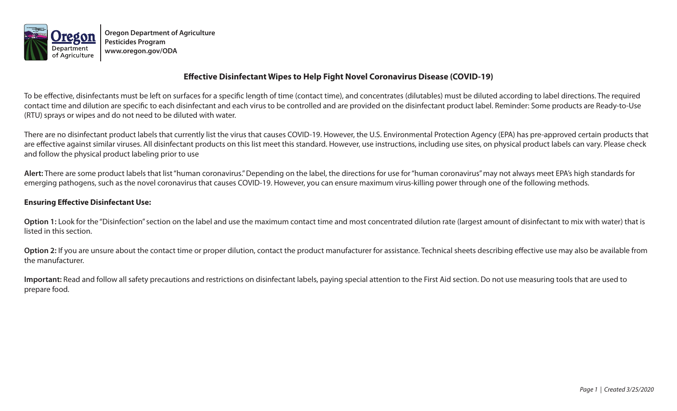

**Oregon Department of Agriculture Pesticides Program www.oregon.gov/ODA**

## **Effective Disinfectant Wipes to Help Fight Novel Coronavirus Disease (COVID-19)**

To be effective, disinfectants must be left on surfaces for a specific length of time (contact time), and concentrates (dilutables) must be diluted according to label directions. The required contact time and dilution are specific to each disinfectant and each virus to be controlled and are provided on the disinfectant product label. Reminder: Some products are Ready-to-Use (RTU) sprays or wipes and do not need to be diluted with water.

There are no disinfectant product labels that currently list the virus that causes COVID-19. However, the U.S. Environmental Protection Agency (EPA) has pre-approved certain products that are effective against similar viruses. All disinfectant products on this list meet this standard. However, use instructions, including use sites, on physical product labels can vary. Please check and follow the physical product labeling prior to use

**Alert:** There are some product labels that list "human coronavirus." Depending on the label, the directions for use for "human coronavirus" may not always meet EPA's high standards for emerging pathogens, such as the novel coronavirus that causes COVID-19. However, you can ensure maximum virus-killing power through one of the following methods.

## **Ensuring Effective Disinfectant Use:**

Option 1: Look for the "Disinfection" section on the label and use the maximum contact time and most concentrated dilution rate (largest amount of disinfectant to mix with water) that is listed in this section.

Option 2: If you are unsure about the contact time or proper dilution, contact the product manufacturer for assistance. Technical sheets describing effective use may also be available from the manufacturer.

**Important:** Read and follow all safety precautions and restrictions on disinfectant labels, paying special attention to the First Aid section. Do not use measuring tools that are used to prepare food.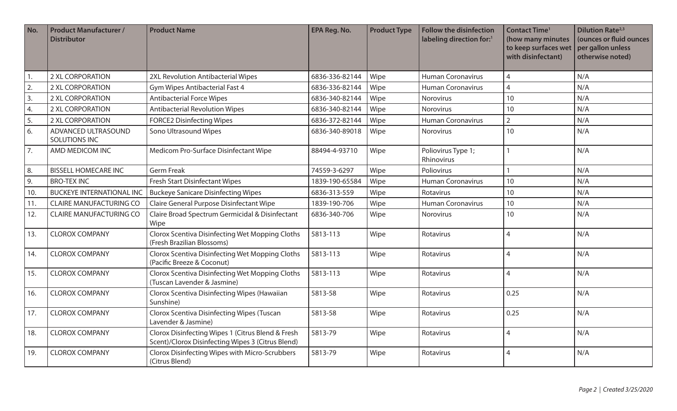| No. | <b>Product Manufacturer /</b><br><b>Distributor</b> | <b>Product Name</b>                                                                                    | EPA Reg. No.   | <b>Product Type</b> | Follow the disinfection<br>labeling direction for:1 | <b>Contact Time<sup>1</sup></b><br>(how many minutes<br>to keep surfaces wet<br>with disinfectant) | <b>Dilution Rate</b> <sup>2,3</sup><br>(ounces or fluid ounces<br>per gallon unless<br>otherwise noted) |
|-----|-----------------------------------------------------|--------------------------------------------------------------------------------------------------------|----------------|---------------------|-----------------------------------------------------|----------------------------------------------------------------------------------------------------|---------------------------------------------------------------------------------------------------------|
| 1.  | <b>2 XL CORPORATION</b>                             | 2XL Revolution Antibacterial Wipes                                                                     | 6836-336-82144 | Wipe                | <b>Human Coronavirus</b>                            | $\overline{4}$                                                                                     | N/A                                                                                                     |
| 2.  | 2 XL CORPORATION                                    | <b>Gym Wipes Antibacterial Fast 4</b>                                                                  | 6836-336-82144 | Wipe                | <b>Human Coronavirus</b>                            | $\overline{4}$                                                                                     | N/A                                                                                                     |
| 3.  | 2 XL CORPORATION                                    | <b>Antibacterial Force Wipes</b>                                                                       | 6836-340-82144 | Wipe                | Norovirus                                           | 10                                                                                                 | N/A                                                                                                     |
| 4.  | 2 XL CORPORATION                                    | <b>Antibacterial Revolution Wipes</b>                                                                  | 6836-340-82144 | Wipe                | <b>Norovirus</b>                                    | 10                                                                                                 | N/A                                                                                                     |
| 5.  | 2 XL CORPORATION                                    | <b>FORCE2 Disinfecting Wipes</b>                                                                       | 6836-372-82144 | Wipe                | <b>Human Coronavirus</b>                            | $\overline{2}$                                                                                     | N/A                                                                                                     |
| 6.  | ADVANCED ULTRASOUND<br>SOLUTIONS INC                | Sono Ultrasound Wipes                                                                                  | 6836-340-89018 | Wipe                | <b>Norovirus</b>                                    | 10                                                                                                 | N/A                                                                                                     |
| 7.  | AMD MEDICOM INC                                     | Medicom Pro-Surface Disinfectant Wipe                                                                  | 88494-4-93710  | Wipe                | Poliovirus Type 1;<br>Rhinovirus                    | 1                                                                                                  | N/A                                                                                                     |
| 8.  | <b>BISSELL HOMECARE INC</b>                         | <b>Germ Freak</b>                                                                                      | 74559-3-6297   | Wipe                | Poliovirus                                          |                                                                                                    | N/A                                                                                                     |
| 9.  | <b>BRO-TEX INC</b>                                  | <b>Fresh Start Disinfectant Wipes</b>                                                                  | 1839-190-65584 | Wipe                | <b>Human Coronavirus</b>                            | 10                                                                                                 | N/A                                                                                                     |
| 10. | <b>BUCKEYE INTERNATIONAL INC</b>                    | <b>Buckeye Sanicare Disinfecting Wipes</b>                                                             | 6836-313-559   | Wipe                | Rotavirus                                           | 10                                                                                                 | N/A                                                                                                     |
| 11. | <b>CLAIRE MANUFACTURING CO</b>                      | Claire General Purpose Disinfectant Wipe                                                               | 1839-190-706   | Wipe                | <b>Human Coronavirus</b>                            | 10                                                                                                 | N/A                                                                                                     |
| 12. | <b>CLAIRE MANUFACTURING CO</b>                      | Claire Broad Spectrum Germicidal & Disinfectant<br>Wipe                                                | 6836-340-706   | Wipe                | <b>Norovirus</b>                                    | 10                                                                                                 | N/A                                                                                                     |
| 13. | <b>CLOROX COMPANY</b>                               | Clorox Scentiva Disinfecting Wet Mopping Cloths<br>(Fresh Brazilian Blossoms)                          | 5813-113       | Wipe                | Rotavirus                                           | $\overline{4}$                                                                                     | N/A                                                                                                     |
| 14. | <b>CLOROX COMPANY</b>                               | Clorox Scentiva Disinfecting Wet Mopping Cloths<br>(Pacific Breeze & Coconut)                          | 5813-113       | Wipe                | Rotavirus                                           | $\overline{4}$                                                                                     | N/A                                                                                                     |
| 15. | <b>CLOROX COMPANY</b>                               | Clorox Scentiva Disinfecting Wet Mopping Cloths<br>(Tuscan Lavender & Jasmine)                         | 5813-113       | Wipe                | Rotavirus                                           | $\overline{4}$                                                                                     | N/A                                                                                                     |
| 16. | <b>CLOROX COMPANY</b>                               | Clorox Scentiva Disinfecting Wipes (Hawaiian<br>Sunshine)                                              | 5813-58        | Wipe                | Rotavirus                                           | 0.25                                                                                               | N/A                                                                                                     |
| 17. | <b>CLOROX COMPANY</b>                               | Clorox Scentiva Disinfecting Wipes (Tuscan<br>Lavender & Jasmine)                                      | 5813-58        | Wipe                | Rotavirus                                           | 0.25                                                                                               | N/A                                                                                                     |
| 18. | <b>CLOROX COMPANY</b>                               | Clorox Disinfecting Wipes 1 (Citrus Blend & Fresh<br>Scent)/Clorox Disinfecting Wipes 3 (Citrus Blend) | 5813-79        | Wipe                | Rotavirus                                           | $\overline{4}$                                                                                     | N/A                                                                                                     |
| 19. | <b>CLOROX COMPANY</b>                               | Clorox Disinfecting Wipes with Micro-Scrubbers<br>(Citrus Blend)                                       | 5813-79        | Wipe                | Rotavirus                                           | $\overline{4}$                                                                                     | N/A                                                                                                     |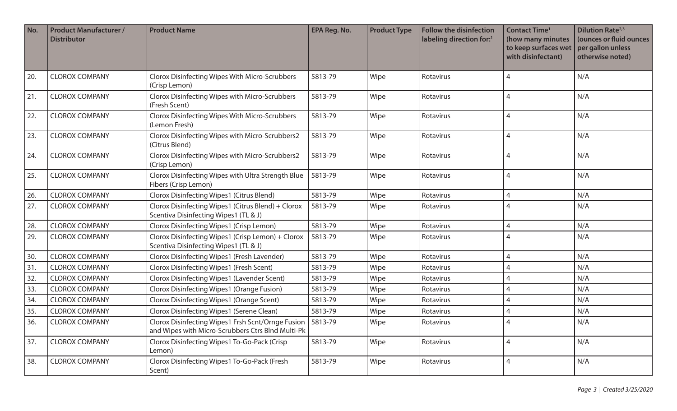| No. | <b>Product Manufacturer /</b><br><b>Distributor</b> | <b>Product Name</b>                                                                                      | EPA Reg. No. | <b>Product Type</b> | <b>Follow the disinfection</b><br>labeling direction for:1 | <b>Contact Time<sup>1</sup></b><br>(how many minutes<br>to keep surfaces wet<br>with disinfectant) | <b>Dilution Rate</b> <sup>2,3</sup><br>(ounces or fluid ounces<br>per gallon unless<br>otherwise noted) |
|-----|-----------------------------------------------------|----------------------------------------------------------------------------------------------------------|--------------|---------------------|------------------------------------------------------------|----------------------------------------------------------------------------------------------------|---------------------------------------------------------------------------------------------------------|
| 20. | <b>CLOROX COMPANY</b>                               | Clorox Disinfecting Wipes With Micro-Scrubbers<br>(Crisp Lemon)                                          | 5813-79      | Wipe                | Rotavirus                                                  | 4                                                                                                  | N/A                                                                                                     |
| 21. | <b>CLOROX COMPANY</b>                               | Clorox Disinfecting Wipes with Micro-Scrubbers<br>(Fresh Scent)                                          | 5813-79      | Wipe                | Rotavirus                                                  | 4                                                                                                  | N/A                                                                                                     |
| 22. | <b>CLOROX COMPANY</b>                               | Clorox Disinfecting Wipes With Micro-Scrubbers<br>(Lemon Fresh)                                          | 5813-79      | Wipe                | Rotavirus                                                  | 4                                                                                                  | N/A                                                                                                     |
| 23. | <b>CLOROX COMPANY</b>                               | Clorox Disinfecting Wipes with Micro-Scrubbers2<br>(Citrus Blend)                                        | 5813-79      | Wipe                | Rotavirus                                                  | 4                                                                                                  | N/A                                                                                                     |
| 24. | <b>CLOROX COMPANY</b>                               | Clorox Disinfecting Wipes with Micro-Scrubbers2<br>(Crisp Lemon)                                         | 5813-79      | Wipe                | Rotavirus                                                  | 4                                                                                                  | N/A                                                                                                     |
| 25. | <b>CLOROX COMPANY</b>                               | Clorox Disinfecting Wipes with Ultra Strength Blue<br>Fibers (Crisp Lemon)                               | 5813-79      | Wipe                | Rotavirus                                                  | 4                                                                                                  | N/A                                                                                                     |
| 26. | <b>CLOROX COMPANY</b>                               | Clorox Disinfecting Wipes1 (Citrus Blend)                                                                | 5813-79      | Wipe                | Rotavirus                                                  | 4                                                                                                  | N/A                                                                                                     |
| 27. | <b>CLOROX COMPANY</b>                               | Clorox Disinfecting Wipes1 (Citrus Blend) + Clorox<br>Scentiva Disinfecting Wipes1 (TL & J)              | 5813-79      | Wipe                | Rotavirus                                                  | 4                                                                                                  | N/A                                                                                                     |
| 28. | <b>CLOROX COMPANY</b>                               | Clorox Disinfecting Wipes1 (Crisp Lemon)                                                                 | 5813-79      | Wipe                | Rotavirus                                                  | 4                                                                                                  | N/A                                                                                                     |
| 29. | <b>CLOROX COMPANY</b>                               | Clorox Disinfecting Wipes1 (Crisp Lemon) + Clorox<br>Scentiva Disinfecting Wipes1 (TL & J)               | 5813-79      | Wipe                | Rotavirus                                                  | 4                                                                                                  | N/A                                                                                                     |
| 30. | <b>CLOROX COMPANY</b>                               | Clorox Disinfecting Wipes1 (Fresh Lavender)                                                              | 5813-79      | Wipe                | Rotavirus                                                  | 4                                                                                                  | N/A                                                                                                     |
| 31. | <b>CLOROX COMPANY</b>                               | Clorox Disinfecting Wipes1 (Fresh Scent)                                                                 | 5813-79      | Wipe                | Rotavirus                                                  |                                                                                                    | N/A                                                                                                     |
| 32. | <b>CLOROX COMPANY</b>                               | Clorox Disinfecting Wipes1 (Lavender Scent)                                                              | 5813-79      | Wipe                | Rotavirus                                                  |                                                                                                    | N/A                                                                                                     |
| 33. | <b>CLOROX COMPANY</b>                               | Clorox Disinfecting Wipes1 (Orange Fusion)                                                               | 5813-79      | Wipe                | Rotavirus                                                  |                                                                                                    | N/A                                                                                                     |
| 34. | <b>CLOROX COMPANY</b>                               | Clorox Disinfecting Wipes1 (Orange Scent)                                                                | 5813-79      | Wipe                | Rotavirus                                                  |                                                                                                    | N/A                                                                                                     |
| 35. | <b>CLOROX COMPANY</b>                               | Clorox Disinfecting Wipes1 (Serene Clean)                                                                | 5813-79      | Wipe                | Rotavirus                                                  |                                                                                                    | N/A                                                                                                     |
| 36. | <b>CLOROX COMPANY</b>                               | Clorox Disinfecting Wipes1 Frsh Scnt/Ornge Fusion  <br>and Wipes with Micro-Scrubbers Ctrs Blnd Multi-Pk | 5813-79      | Wipe                | Rotavirus                                                  | 4                                                                                                  | N/A                                                                                                     |
| 37. | <b>CLOROX COMPANY</b>                               | Clorox Disinfecting Wipes1 To-Go-Pack (Crisp<br>Lemon)                                                   | 5813-79      | Wipe                | Rotavirus                                                  | 4                                                                                                  | N/A                                                                                                     |
| 38. | <b>CLOROX COMPANY</b>                               | Clorox Disinfecting Wipes1 To-Go-Pack (Fresh<br>Scent)                                                   | 5813-79      | Wipe                | Rotavirus                                                  | 4                                                                                                  | N/A                                                                                                     |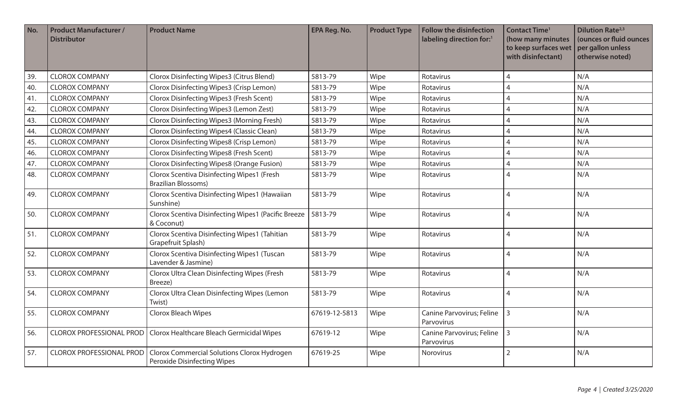| No. | <b>Product Manufacturer /</b><br><b>Distributor</b> | <b>Product Name</b>                                                             | <b>EPA Reg. No.</b> | <b>Product Type</b> | <b>Follow the disinfection</b><br>labeling direction for: <sup>1</sup> | <b>Contact Time<sup>1</sup></b><br>(how many minutes<br>to keep surfaces wet<br>with disinfectant) | <b>Dilution Rate</b> <sup>2,3</sup><br>(ounces or fluid ounces<br>per gallon unless<br>otherwise noted) |
|-----|-----------------------------------------------------|---------------------------------------------------------------------------------|---------------------|---------------------|------------------------------------------------------------------------|----------------------------------------------------------------------------------------------------|---------------------------------------------------------------------------------------------------------|
| 39. | <b>CLOROX COMPANY</b>                               | Clorox Disinfecting Wipes3 (Citrus Blend)                                       | 5813-79             | Wipe                | Rotavirus                                                              | $\overline{A}$                                                                                     | N/A                                                                                                     |
| 40. | <b>CLOROX COMPANY</b>                               | Clorox Disinfecting Wipes3 (Crisp Lemon)                                        | 5813-79             | Wipe                | Rotavirus                                                              | 4                                                                                                  | N/A                                                                                                     |
| 41. | <b>CLOROX COMPANY</b>                               | Clorox Disinfecting Wipes3 (Fresh Scent)                                        | 5813-79             | Wipe                | Rotavirus                                                              | 4                                                                                                  | N/A                                                                                                     |
| 42. | <b>CLOROX COMPANY</b>                               | Clorox Disinfecting Wipes3 (Lemon Zest)                                         | 5813-79             | Wipe                | Rotavirus                                                              | $\overline{4}$                                                                                     | N/A                                                                                                     |
| 43. | <b>CLOROX COMPANY</b>                               | Clorox Disinfecting Wipes3 (Morning Fresh)                                      | 5813-79             | Wipe                | Rotavirus                                                              | $\overline{A}$                                                                                     | N/A                                                                                                     |
| 44. | <b>CLOROX COMPANY</b>                               | Clorox Disinfecting Wipes4 (Classic Clean)                                      | 5813-79             | Wipe                | Rotavirus                                                              | 4                                                                                                  | N/A                                                                                                     |
| 45. | <b>CLOROX COMPANY</b>                               | Clorox Disinfecting Wipes8 (Crisp Lemon)                                        | 5813-79             | Wipe                | Rotavirus                                                              | $\overline{4}$                                                                                     | N/A                                                                                                     |
| 46. | <b>CLOROX COMPANY</b>                               | Clorox Disinfecting Wipes8 (Fresh Scent)                                        | 5813-79             | Wipe                | Rotavirus                                                              | 4                                                                                                  | N/A                                                                                                     |
| 47. | <b>CLOROX COMPANY</b>                               | Clorox Disinfecting Wipes8 (Orange Fusion)                                      | 5813-79             | Wipe                | Rotavirus                                                              | 4                                                                                                  | N/A                                                                                                     |
| 48. | <b>CLOROX COMPANY</b>                               | <b>Clorox Scentiva Disinfecting Wipes1 (Fresh</b><br><b>Brazilian Blossoms)</b> | 5813-79             | Wipe                | Rotavirus                                                              | $\overline{4}$                                                                                     | N/A                                                                                                     |
| 49. | <b>CLOROX COMPANY</b>                               | Clorox Scentiva Disinfecting Wipes1 (Hawaiian<br>Sunshine)                      | 5813-79             | Wipe                | Rotavirus                                                              | $\overline{4}$                                                                                     | N/A                                                                                                     |
| 50. | <b>CLOROX COMPANY</b>                               | Clorox Scentiva Disinfecting Wipes1 (Pacific Breeze<br>& Coconut)               | 5813-79             | Wipe                | Rotavirus                                                              | $\overline{4}$                                                                                     | N/A                                                                                                     |
| 51. | <b>CLOROX COMPANY</b>                               | Clorox Scentiva Disinfecting Wipes1 (Tahitian<br>Grapefruit Splash)             | 5813-79             | Wipe                | Rotavirus                                                              | $\overline{4}$                                                                                     | N/A                                                                                                     |
| 52. | <b>CLOROX COMPANY</b>                               | Clorox Scentiva Disinfecting Wipes1 (Tuscan<br>Lavender & Jasmine)              | 5813-79             | Wipe                | Rotavirus                                                              | $\overline{4}$                                                                                     | N/A                                                                                                     |
| 53. | <b>CLOROX COMPANY</b>                               | Clorox Ultra Clean Disinfecting Wipes (Fresh<br>Breeze)                         | 5813-79             | Wipe                | Rotavirus                                                              | $\overline{4}$                                                                                     | N/A                                                                                                     |
| 54. | <b>CLOROX COMPANY</b>                               | Clorox Ultra Clean Disinfecting Wipes (Lemon<br>Twist)                          | 5813-79             | Wipe                | Rotavirus                                                              | $\overline{4}$                                                                                     | N/A                                                                                                     |
| 55. | <b>CLOROX COMPANY</b>                               | Clorox Bleach Wipes                                                             | 67619-12-5813       | Wipe                | Canine Parvovirus; Feline<br>Parvovirus                                | $\overline{3}$                                                                                     | N/A                                                                                                     |
| 56. | <b>CLOROX PROFESSIONAL PROD</b>                     | Clorox Healthcare Bleach Germicidal Wipes                                       | 67619-12            | Wipe                | Canine Parvovirus; Feline<br>Parvovirus                                | 3                                                                                                  | N/A                                                                                                     |
| 57. | <b>CLOROX PROFESSIONAL PROD</b>                     | Clorox Commercial Solutions Clorox Hydrogen<br>Peroxide Disinfecting Wipes      | 67619-25            | Wipe                | Norovirus                                                              | $\overline{2}$                                                                                     | N/A                                                                                                     |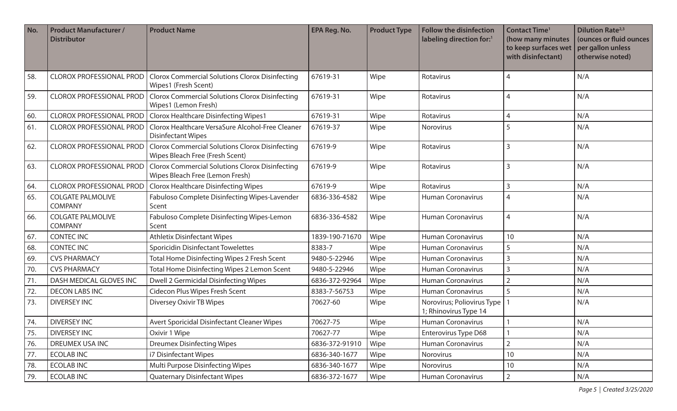| No. | <b>Product Manufacturer /</b><br><b>Distributor</b> | <b>Product Name</b>                                                                       | <b>EPA Reg. No.</b> | <b>Product Type</b> | <b>Follow the disinfection</b><br>labeling direction for:1 | <b>Contact Time<sup>1</sup></b><br>(how many minutes<br>to keep surfaces wet<br>with disinfectant) | <b>Dilution Rate</b> <sup>2,3</sup><br>(ounces or fluid ounces<br>per gallon unless<br>otherwise noted) |
|-----|-----------------------------------------------------|-------------------------------------------------------------------------------------------|---------------------|---------------------|------------------------------------------------------------|----------------------------------------------------------------------------------------------------|---------------------------------------------------------------------------------------------------------|
| 58. | <b>CLOROX PROFESSIONAL PROD</b>                     | <b>Clorox Commercial Solutions Clorox Disinfecting</b><br>Wipes1 (Fresh Scent)            | 67619-31            | Wipe                | Rotavirus                                                  | 4                                                                                                  | N/A                                                                                                     |
| 59. | <b>CLOROX PROFESSIONAL PROD</b>                     | <b>Clorox Commercial Solutions Clorox Disinfecting</b><br>Wipes1 (Lemon Fresh)            | 67619-31            | Wipe                | Rotavirus                                                  | 4                                                                                                  | N/A                                                                                                     |
| 60. | <b>CLOROX PROFESSIONAL PROD</b>                     | <b>Clorox Healthcare Disinfecting Wipes1</b>                                              | 67619-31            | Wipe                | Rotavirus                                                  | 4                                                                                                  | N/A                                                                                                     |
| 61. | <b>CLOROX PROFESSIONAL PROD</b>                     | Clorox Healthcare VersaSure Alcohol-Free Cleaner<br><b>Disinfectant Wipes</b>             | 67619-37            | Wipe                | Norovirus                                                  | 5                                                                                                  | N/A                                                                                                     |
| 62. | <b>CLOROX PROFESSIONAL PROD</b>                     | <b>Clorox Commercial Solutions Clorox Disinfecting</b><br>Wipes Bleach Free (Fresh Scent) | 67619-9             | Wipe                | Rotavirus                                                  | 3                                                                                                  | N/A                                                                                                     |
| 63. | <b>CLOROX PROFESSIONAL PROD</b>                     | <b>Clorox Commercial Solutions Clorox Disinfecting</b><br>Wipes Bleach Free (Lemon Fresh) | 67619-9             | Wipe                | Rotavirus                                                  | 3                                                                                                  | N/A                                                                                                     |
| 64. | <b>CLOROX PROFESSIONAL PROD</b>                     | <b>Clorox Healthcare Disinfecting Wipes</b>                                               | 67619-9             | Wipe                | Rotavirus                                                  | 3                                                                                                  | N/A                                                                                                     |
| 65. | <b>COLGATE PALMOLIVE</b><br><b>COMPANY</b>          | Fabuloso Complete Disinfecting Wipes-Lavender<br>Scent                                    | 6836-336-4582       | Wipe                | <b>Human Coronavirus</b>                                   | 4                                                                                                  | N/A                                                                                                     |
| 66. | <b>COLGATE PALMOLIVE</b><br><b>COMPANY</b>          | Fabuloso Complete Disinfecting Wipes-Lemon<br>Scent                                       | 6836-336-4582       | Wipe                | <b>Human Coronavirus</b>                                   | 4                                                                                                  | N/A                                                                                                     |
| 67. | <b>CONTEC INC</b>                                   | <b>Athletix Disinfectant Wipes</b>                                                        | 1839-190-71670      | Wipe                | <b>Human Coronavirus</b>                                   | 10                                                                                                 | N/A                                                                                                     |
| 68. | <b>CONTEC INC</b>                                   | <b>Sporicidin Disinfectant Towelettes</b>                                                 | 8383-7              | Wipe                | <b>Human Coronavirus</b>                                   | 5                                                                                                  | N/A                                                                                                     |
| 69. | <b>CVS PHARMACY</b>                                 | Total Home Disinfecting Wipes 2 Fresh Scent                                               | 9480-5-22946        | Wipe                | <b>Human Coronavirus</b>                                   | 3                                                                                                  | N/A                                                                                                     |
| 70. | <b>CVS PHARMACY</b>                                 | Total Home Disinfecting Wipes 2 Lemon Scent                                               | 9480-5-22946        | Wipe                | Human Coronavirus                                          | 3                                                                                                  | N/A                                                                                                     |
| 71. | DASH MEDICAL GLOVES INC                             | Dwell 2 Germicidal Disinfecting Wipes                                                     | 6836-372-92964      | Wipe                | <b>Human Coronavirus</b>                                   | $\overline{2}$                                                                                     | N/A                                                                                                     |
| 72. | <b>DECON LABS INC</b>                               | Cidecon Plus Wipes Fresh Scent                                                            | 8383-7-56753        | Wipe                | <b>Human Coronavirus</b>                                   | 5                                                                                                  | N/A                                                                                                     |
| 73. | <b>DIVERSEY INC</b>                                 | Diversey Oxivir TB Wipes                                                                  | 70627-60            | Wipe                | Norovirus; Poliovirus Type<br>1; Rhinovirus Type 14        |                                                                                                    | N/A                                                                                                     |
| 74. | <b>DIVERSEY INC</b>                                 | Avert Sporicidal Disinfectant Cleaner Wipes                                               | 70627-75            | Wipe                | <b>Human Coronavirus</b>                                   |                                                                                                    | N/A                                                                                                     |
| 75. | <b>DIVERSEY INC</b>                                 | Oxivir 1 Wipe                                                                             | 70627-77            | Wipe                | <b>Enterovirus Type D68</b>                                |                                                                                                    | N/A                                                                                                     |
| 76. | <b>DREUMEX USA INC</b>                              | <b>Dreumex Disinfecting Wipes</b>                                                         | 6836-372-91910      | Wipe                | Human Coronavirus                                          | $\overline{2}$                                                                                     | N/A                                                                                                     |
| 77. | <b>ECOLAB INC</b>                                   | i7 Disinfectant Wipes                                                                     | 6836-340-1677       | Wipe                | Norovirus                                                  | 10                                                                                                 | N/A                                                                                                     |
| 78. | <b>ECOLAB INC</b>                                   | Multi Purpose Disinfecting Wipes                                                          | 6836-340-1677       | Wipe                | Norovirus                                                  | 10                                                                                                 | N/A                                                                                                     |
| 79. | <b>ECOLAB INC</b>                                   | <b>Quaternary Disinfectant Wipes</b>                                                      | 6836-372-1677       | Wipe                | Human Coronavirus                                          | $\overline{2}$                                                                                     | N/A                                                                                                     |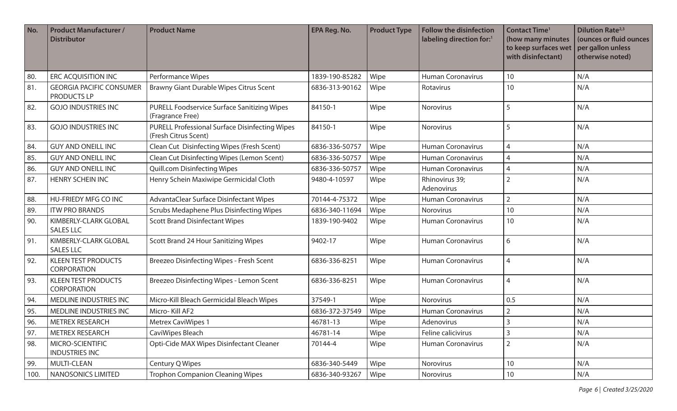| No.  | <b>Product Manufacturer /</b><br><b>Distributor</b> | <b>Product Name</b>                                                           | <b>EPA Reg. No.</b> | <b>Product Type</b> | Follow the disinfection<br>labeling direction for:1 | <b>Contact Time<sup>1</sup></b><br>(how many minutes<br>to keep surfaces wet<br>with disinfectant) | <b>Dilution Rate</b> <sup>2,3</sup><br>(ounces or fluid ounces<br>per gallon unless<br>otherwise noted) |
|------|-----------------------------------------------------|-------------------------------------------------------------------------------|---------------------|---------------------|-----------------------------------------------------|----------------------------------------------------------------------------------------------------|---------------------------------------------------------------------------------------------------------|
| 80.  | <b>ERC ACQUISITION INC</b>                          | Performance Wipes                                                             | 1839-190-85282      | Wipe                | <b>Human Coronavirus</b>                            | 10                                                                                                 | N/A                                                                                                     |
| 81.  | <b>GEORGIA PACIFIC CONSUMER</b><br>PRODUCTS LP      | Brawny Giant Durable Wipes Citrus Scent                                       | 6836-313-90162      | Wipe                | Rotavirus                                           | 10                                                                                                 | N/A                                                                                                     |
| 82.  | <b>GOJO INDUSTRIES INC</b>                          | PURELL Foodservice Surface Sanitizing Wipes<br>(Fragrance Free)               | 84150-1             | Wipe                | Norovirus                                           | 5                                                                                                  | N/A                                                                                                     |
| 83.  | <b>GOJO INDUSTRIES INC</b>                          | <b>PURELL Professional Surface Disinfecting Wipes</b><br>(Fresh Citrus Scent) | 84150-1             | Wipe                | Norovirus                                           | 5                                                                                                  | N/A                                                                                                     |
| 84.  | <b>GUY AND ONEILL INC</b>                           | Clean Cut Disinfecting Wipes (Fresh Scent)                                    | 6836-336-50757      | Wipe                | <b>Human Coronavirus</b>                            | $\overline{4}$                                                                                     | N/A                                                                                                     |
| 85.  | <b>GUY AND ONEILL INC</b>                           | Clean Cut Disinfecting Wipes (Lemon Scent)                                    | 6836-336-50757      | Wipe                | <b>Human Coronavirus</b>                            | 4                                                                                                  | N/A                                                                                                     |
| 86.  | <b>GUY AND ONEILL INC</b>                           | <b>Quill.com Disinfecting Wipes</b>                                           | 6836-336-50757      | Wipe                | <b>Human Coronavirus</b>                            | 4                                                                                                  | N/A                                                                                                     |
| 87.  | <b>HENRY SCHEIN INC</b>                             | Henry Schein Maxiwipe Germicidal Cloth                                        | 9480-4-10597        | Wipe                | Rhinovirus 39;<br>Adenovirus                        | $\overline{2}$                                                                                     | N/A                                                                                                     |
| 88.  | <b>HU-FRIEDY MFG CO INC</b>                         | AdvantaClear Surface Disinfectant Wipes                                       | 70144-4-75372       | Wipe                | <b>Human Coronavirus</b>                            | $\overline{2}$                                                                                     | N/A                                                                                                     |
| 89.  | <b>ITW PRO BRANDS</b>                               | Scrubs Medaphene Plus Disinfecting Wipes                                      | 6836-340-11694      | Wipe                | Norovirus                                           | 10                                                                                                 | N/A                                                                                                     |
| 90.  | KIMBERLY-CLARK GLOBAL<br><b>SALES LLC</b>           | <b>Scott Brand Disinfectant Wipes</b>                                         | 1839-190-9402       | Wipe                | <b>Human Coronavirus</b>                            | 10                                                                                                 | N/A                                                                                                     |
| 91.  | KIMBERLY-CLARK GLOBAL<br><b>SALES LLC</b>           | Scott Brand 24 Hour Sanitizing Wipes                                          | 9402-17             | Wipe                | <b>Human Coronavirus</b>                            | 6                                                                                                  | N/A                                                                                                     |
| 92.  | <b>KLEEN TEST PRODUCTS</b><br><b>CORPORATION</b>    | Breezeo Disinfecting Wipes - Fresh Scent                                      | 6836-336-8251       | Wipe                | <b>Human Coronavirus</b>                            | $\overline{4}$                                                                                     | N/A                                                                                                     |
| 93.  | <b>KLEEN TEST PRODUCTS</b><br><b>CORPORATION</b>    | Breezeo Disinfecting Wipes - Lemon Scent                                      | 6836-336-8251       | Wipe                | <b>Human Coronavirus</b>                            | $\overline{4}$                                                                                     | N/A                                                                                                     |
| 94.  | MEDLINE INDUSTRIES INC                              | Micro-Kill Bleach Germicidal Bleach Wipes                                     | 37549-1             | Wipe                | <b>Norovirus</b>                                    | 0.5                                                                                                | N/A                                                                                                     |
| 95.  | MEDLINE INDUSTRIES INC                              | Micro-Kill AF2                                                                | 6836-372-37549      | Wipe                | <b>Human Coronavirus</b>                            | $\overline{2}$                                                                                     | N/A                                                                                                     |
| 96.  | <b>METREX RESEARCH</b>                              | <b>Metrex CaviWipes 1</b>                                                     | 46781-13            | Wipe                | Adenovirus                                          | $\mathbf{3}$                                                                                       | N/A                                                                                                     |
| 97.  | METREX RESEARCH                                     | CaviWipes Bleach                                                              | 46781-14            | Wipe                | Feline calicivirus                                  | $\mathsf{3}$                                                                                       | N/A                                                                                                     |
| 98.  | MICRO-SCIENTIFIC<br><b>INDUSTRIES INC</b>           | Opti-Cide MAX Wipes Disinfectant Cleaner                                      | 70144-4             | Wipe                | Human Coronavirus                                   | $\overline{2}$                                                                                     | N/A                                                                                                     |
| 99.  | MULTI-CLEAN                                         | Century Q Wipes                                                               | 6836-340-5449       | Wipe                | Norovirus                                           | $10$                                                                                               | N/A                                                                                                     |
| 100. | NANOSONICS LIMITED                                  | <b>Trophon Companion Cleaning Wipes</b>                                       | 6836-340-93267      | Wipe                | Norovirus                                           | 10                                                                                                 | N/A                                                                                                     |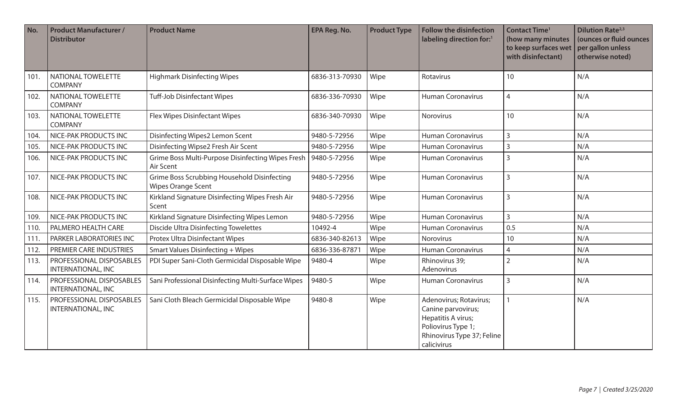| No.  | <b>Product Manufacturer /</b><br><b>Distributor</b>   | <b>Product Name</b>                                                      | <b>EPA Reg. No.</b> | <b>Product Type</b> | <b>Follow the disinfection</b><br>labeling direction for:1                                                                            | <b>Contact Time<sup>1</sup></b><br>(how many minutes<br>to keep surfaces wet<br>with disinfectant) | <b>Dilution Rate</b> <sup>2,3</sup><br>(ounces or fluid ounces<br>per gallon unless<br>otherwise noted) |
|------|-------------------------------------------------------|--------------------------------------------------------------------------|---------------------|---------------------|---------------------------------------------------------------------------------------------------------------------------------------|----------------------------------------------------------------------------------------------------|---------------------------------------------------------------------------------------------------------|
| 101. | NATIONAL TOWELETTE<br><b>COMPANY</b>                  | <b>Highmark Disinfecting Wipes</b>                                       | 6836-313-70930      | Wipe                | Rotavirus                                                                                                                             | 10                                                                                                 | N/A                                                                                                     |
| 102. | NATIONAL TOWELETTE<br><b>COMPANY</b>                  | <b>Tuff-Job Disinfectant Wipes</b>                                       | 6836-336-70930      | Wipe                | <b>Human Coronavirus</b>                                                                                                              | $\overline{4}$                                                                                     | N/A                                                                                                     |
| 103. | NATIONAL TOWELETTE<br><b>COMPANY</b>                  | Flex Wipes Disinfectant Wipes                                            | 6836-340-70930      | Wipe                | Norovirus                                                                                                                             | 10                                                                                                 | N/A                                                                                                     |
| 104. | NICE-PAK PRODUCTS INC                                 | Disinfecting Wipes2 Lemon Scent                                          | 9480-5-72956        | Wipe                | <b>Human Coronavirus</b>                                                                                                              | 3                                                                                                  | N/A                                                                                                     |
| 105. | NICE-PAK PRODUCTS INC                                 | Disinfecting Wipse2 Fresh Air Scent                                      | 9480-5-72956        | Wipe                | <b>Human Coronavirus</b>                                                                                                              | 3                                                                                                  | N/A                                                                                                     |
| 106. | NICE-PAK PRODUCTS INC                                 | Grime Boss Multi-Purpose Disinfecting Wipes Fresh<br>Air Scent           | 9480-5-72956        | Wipe                | <b>Human Coronavirus</b>                                                                                                              | $\overline{3}$                                                                                     | N/A                                                                                                     |
| 107. | NICE-PAK PRODUCTS INC                                 | Grime Boss Scrubbing Household Disinfecting<br><b>Wipes Orange Scent</b> | 9480-5-72956        | Wipe                | <b>Human Coronavirus</b>                                                                                                              | $\overline{3}$                                                                                     | N/A                                                                                                     |
| 108. | NICE-PAK PRODUCTS INC                                 | Kirkland Signature Disinfecting Wipes Fresh Air<br>Scent                 | 9480-5-72956        | Wipe                | <b>Human Coronavirus</b>                                                                                                              | $\overline{3}$                                                                                     | N/A                                                                                                     |
| 109. | NICE-PAK PRODUCTS INC                                 | Kirkland Signature Disinfecting Wipes Lemon                              | 9480-5-72956        | Wipe                | <b>Human Coronavirus</b>                                                                                                              | 3                                                                                                  | N/A                                                                                                     |
| 110. | PALMERO HEALTH CARE                                   | <b>Discide Ultra Disinfecting Towelettes</b>                             | 10492-4             | Wipe                | Human Coronavirus                                                                                                                     | 0.5                                                                                                | N/A                                                                                                     |
| 111. | PARKER LABORATORIES INC                               | Protex Ultra Disinfectant Wipes                                          | 6836-340-82613      | Wipe                | Norovirus                                                                                                                             | 10                                                                                                 | N/A                                                                                                     |
| 112. | PREMIER CARE INDUSTRIES                               | <b>Smart Values Disinfecting + Wipes</b>                                 | 6836-336-87871      | Wipe                | <b>Human Coronavirus</b>                                                                                                              | $\overline{4}$                                                                                     | N/A                                                                                                     |
| 113. | PROFESSIONAL DISPOSABLES<br>INTERNATIONAL, INC        | PDI Super Sani-Cloth Germicidal Disposable Wipe                          | 9480-4              | Wipe                | Rhinovirus 39;<br>Adenovirus                                                                                                          | $\overline{2}$                                                                                     | N/A                                                                                                     |
| 114. | PROFESSIONAL DISPOSABLES<br>INTERNATIONAL, INC        | Sani Professional Disinfecting Multi-Surface Wipes                       | 9480-5              | Wipe                | <b>Human Coronavirus</b>                                                                                                              | 3                                                                                                  | N/A                                                                                                     |
| 115. | PROFESSIONAL DISPOSABLES<br><b>INTERNATIONAL, INC</b> | Sani Cloth Bleach Germicidal Disposable Wipe                             | 9480-8              | Wipe                | Adenovirus; Rotavirus;<br>Canine parvovirus;<br>Hepatitis A virus;<br>Poliovirus Type 1;<br>Rhinovirus Type 37; Feline<br>calicivirus | 1                                                                                                  | N/A                                                                                                     |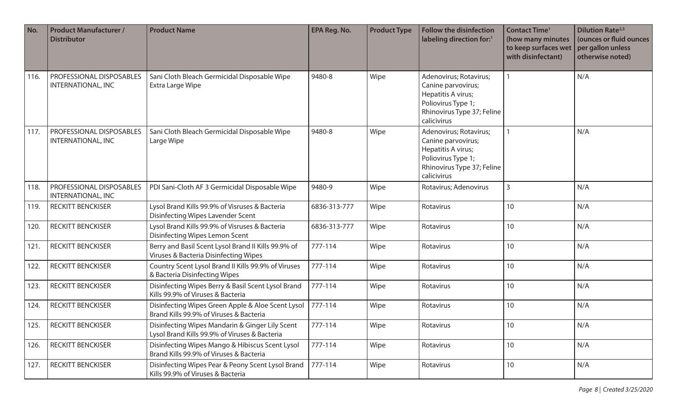| No.  | <b>Product Manufacturer /</b><br><b>Distributor</b>   | <b>Product Name</b>                                                                              | <b>EPA Reg. No.</b> | <b>Product Type</b> | <b>Follow the disinfection</b><br>labeling direction for: <sup>1</sup>                                                                | <b>Contact Time<sup>1</sup></b><br>(how many minutes<br>to keep surfaces wet<br>with disinfectant) | <b>Dilution Rate</b> <sup>2,3</sup><br>(ounces or fluid ounces<br>per gallon unless<br>otherwise noted) |
|------|-------------------------------------------------------|--------------------------------------------------------------------------------------------------|---------------------|---------------------|---------------------------------------------------------------------------------------------------------------------------------------|----------------------------------------------------------------------------------------------------|---------------------------------------------------------------------------------------------------------|
| 116. | <b>PROFESSIONAL DISPOSABLES</b><br>INTERNATIONAL, INC | Sani Cloth Bleach Germicidal Disposable Wipe<br>Extra Large Wipe                                 | 9480-8              | Wipe                | Adenovirus; Rotavirus;<br>Canine parvovirus;<br>Hepatitis A virus;<br>Poliovirus Type 1;<br>Rhinovirus Type 37; Feline<br>calicivirus |                                                                                                    | N/A                                                                                                     |
| 117. | PROFESSIONAL DISPOSABLES<br>INTERNATIONAL, INC        | Sani Cloth Bleach Germicidal Disposable Wipe<br>Large Wipe                                       | 9480-8              | Wipe                | Adenovirus; Rotavirus;<br>Canine parvovirus;<br>Hepatitis A virus;<br>Poliovirus Type 1;<br>Rhinovirus Type 37; Feline<br>calicivirus |                                                                                                    | N/A                                                                                                     |
| 118. | PROFESSIONAL DISPOSABLES<br><b>INTERNATIONAL, INC</b> | PDI Sani-Cloth AF 3 Germicidal Disposable Wipe                                                   | 9480-9              | Wipe                | Rotavirus; Adenovirus                                                                                                                 | 3                                                                                                  | N/A                                                                                                     |
| 119. | <b>RECKITT BENCKISER</b>                              | Lysol Brand Kills 99.9% of Visruses & Bacteria<br><b>Disinfecting Wipes Lavender Scent</b>       | 6836-313-777        | Wipe                | Rotavirus                                                                                                                             | 10                                                                                                 | N/A                                                                                                     |
| 120. | <b>RECKITT BENCKISER</b>                              | Lysol Brand Kills 99.9% of Visruses & Bacteria<br>Disinfecting Wipes Lemon Scent                 | 6836-313-777        | Wipe                | Rotavirus                                                                                                                             | 10                                                                                                 | N/A                                                                                                     |
| 121  | <b>RECKITT BENCKISER</b>                              | Berry and Basil Scent Lysol Brand II Kills 99.9% of<br>Viruses & Bacteria Disinfecting Wipes     | 777-114             | Wipe                | Rotavirus                                                                                                                             | 10                                                                                                 | N/A                                                                                                     |
| 122. | <b>RECKITT BENCKISER</b>                              | Country Scent Lysol Brand II Kills 99.9% of Viruses<br>& Bacteria Disinfecting Wipes             | 777-114             | Wipe                | Rotavirus                                                                                                                             | 10                                                                                                 | N/A                                                                                                     |
| 123. | <b>RECKITT BENCKISER</b>                              | Disinfecting Wipes Berry & Basil Scent Lysol Brand<br>Kills 99.9% of Viruses & Bacteria          | 777-114             | Wipe                | Rotavirus                                                                                                                             | 10                                                                                                 | N/A                                                                                                     |
| 124. | <b>RECKITT BENCKISER</b>                              | Disinfecting Wipes Green Apple & Aloe Scent Lysol<br>Brand Kills 99.9% of Viruses & Bacteria     | 777-114             | Wipe                | Rotavirus                                                                                                                             | 10                                                                                                 | N/A                                                                                                     |
| 125. | RECKITT BENCKISER                                     | Disinfecting Wipes Mandarin & Ginger Lily Scent<br>Lysol Brand Kills 99.9% of Viruses & Bacteria | 777-114             | Wipe                | Rotavirus                                                                                                                             | 10 <sup>°</sup>                                                                                    | N/A                                                                                                     |
| 126. | <b>RECKITT BENCKISER</b>                              | Disinfecting Wipes Mango & Hibiscus Scent Lysol<br>Brand Kills 99.9% of Viruses & Bacteria       | 777-114             | Wipe                | Rotavirus                                                                                                                             | 10                                                                                                 | N/A                                                                                                     |
| 127. | <b>RECKITT BENCKISER</b>                              | Disinfecting Wipes Pear & Peony Scent Lysol Brand<br>Kills 99.9% of Viruses & Bacteria           | 777-114             | Wipe                | Rotavirus                                                                                                                             | 10                                                                                                 | N/A                                                                                                     |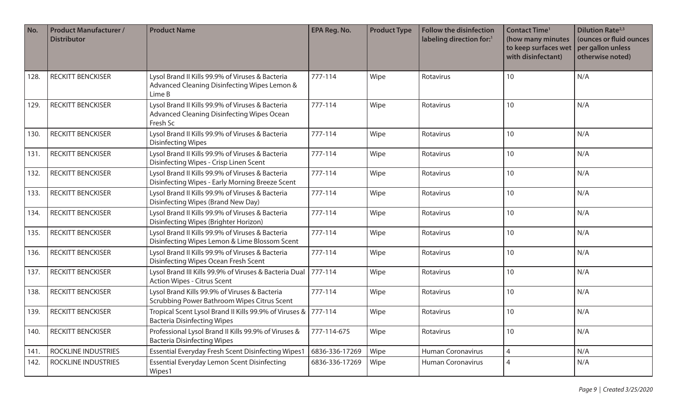| No.  | <b>Product Manufacturer /</b><br><b>Distributor</b> | <b>Product Name</b>                                                                                        | <b>EPA Reg. No.</b> | <b>Product Type</b> | <b>Follow the disinfection</b><br>labeling direction for:1 | <b>Contact Time<sup>1</sup></b><br>(how many minutes<br>to keep surfaces wet<br>with disinfectant) | <b>Dilution Rate</b> <sup>2,3</sup><br>(ounces or fluid ounces<br>per gallon unless<br>otherwise noted) |
|------|-----------------------------------------------------|------------------------------------------------------------------------------------------------------------|---------------------|---------------------|------------------------------------------------------------|----------------------------------------------------------------------------------------------------|---------------------------------------------------------------------------------------------------------|
| 128. | <b>RECKITT BENCKISER</b>                            | Lysol Brand II Kills 99.9% of Viruses & Bacteria<br>Advanced Cleaning Disinfecting Wipes Lemon &<br>Lime B | 777-114             | Wipe                | Rotavirus                                                  | 10                                                                                                 | N/A                                                                                                     |
| 129. | <b>RECKITT BENCKISER</b>                            | Lysol Brand II Kills 99.9% of Viruses & Bacteria<br>Advanced Cleaning Disinfecting Wipes Ocean<br>Fresh Sc | 777-114             | Wipe                | Rotavirus                                                  | 10                                                                                                 | N/A                                                                                                     |
| 130. | <b>RECKITT BENCKISER</b>                            | Lysol Brand II Kills 99.9% of Viruses & Bacteria<br><b>Disinfecting Wipes</b>                              | 777-114             | Wipe                | Rotavirus                                                  | 10                                                                                                 | N/A                                                                                                     |
| 131. | <b>RECKITT BENCKISER</b>                            | Lysol Brand II Kills 99.9% of Viruses & Bacteria<br>Disinfecting Wipes - Crisp Linen Scent                 | 777-114             | Wipe                | Rotavirus                                                  | 10                                                                                                 | N/A                                                                                                     |
| 132. | <b>RECKITT BENCKISER</b>                            | Lysol Brand II Kills 99.9% of Viruses & Bacteria<br>Disinfecting Wipes - Early Morning Breeze Scent        | 777-114             | Wipe                | Rotavirus                                                  | 10                                                                                                 | N/A                                                                                                     |
| 133. | <b>RECKITT BENCKISER</b>                            | Lysol Brand II Kills 99.9% of Viruses & Bacteria<br>Disinfecting Wipes (Brand New Day)                     | 777-114             | Wipe                | Rotavirus                                                  | 10                                                                                                 | N/A                                                                                                     |
| 134. | <b>RECKITT BENCKISER</b>                            | Lysol Brand II Kills 99.9% of Viruses & Bacteria<br>Disinfecting Wipes (Brighter Horizon)                  | 777-114             | Wipe                | Rotavirus                                                  | 10                                                                                                 | N/A                                                                                                     |
| 135. | <b>RECKITT BENCKISER</b>                            | Lysol Brand II Kills 99.9% of Viruses & Bacteria<br>Disinfecting Wipes Lemon & Lime Blossom Scent          | 777-114             | Wipe                | Rotavirus                                                  | 10                                                                                                 | N/A                                                                                                     |
| 136. | <b>RECKITT BENCKISER</b>                            | Lysol Brand II Kills 99.9% of Viruses & Bacteria<br><b>Disinfecting Wipes Ocean Fresh Scent</b>            | 777-114             | Wipe                | Rotavirus                                                  | 10                                                                                                 | N/A                                                                                                     |
| 137. | <b>RECKITT BENCKISER</b>                            | Lysol Brand III Kills 99.9% of Viruses & Bacteria Dual<br><b>Action Wipes - Citrus Scent</b>               | 777-114             | Wipe                | Rotavirus                                                  | 10                                                                                                 | N/A                                                                                                     |
| 138. | <b>RECKITT BENCKISER</b>                            | Lysol Brand Kills 99.9% of Viruses & Bacteria<br>Scrubbing Power Bathroom Wipes Citrus Scent               | 777-114             | Wipe                | Rotavirus                                                  | 10                                                                                                 | N/A                                                                                                     |
| 139. | <b>RECKITT BENCKISER</b>                            | Tropical Scent Lysol Brand II Kills 99.9% of Viruses &<br><b>Bacteria Disinfecting Wipes</b>               | 777-114             | Wipe                | Rotavirus                                                  | 10                                                                                                 | N/A                                                                                                     |
| 140. | <b>RECKITT BENCKISER</b>                            | Professional Lysol Brand II Kills 99.9% of Viruses &<br><b>Bacteria Disinfecting Wipes</b>                 | 777-114-675         | Wipe                | Rotavirus                                                  | 10                                                                                                 | N/A                                                                                                     |
| 141. | <b>ROCKLINE INDUSTRIES</b>                          | <b>Essential Everyday Fresh Scent Disinfecting Wipes1</b>                                                  | 6836-336-17269      | Wipe                | <b>Human Coronavirus</b>                                   | 4                                                                                                  | N/A                                                                                                     |
| 142. | <b>ROCKLINE INDUSTRIES</b>                          | Essential Everyday Lemon Scent Disinfecting<br>Wipes1                                                      | 6836-336-17269      | Wipe                | <b>Human Coronavirus</b>                                   | 4                                                                                                  | N/A                                                                                                     |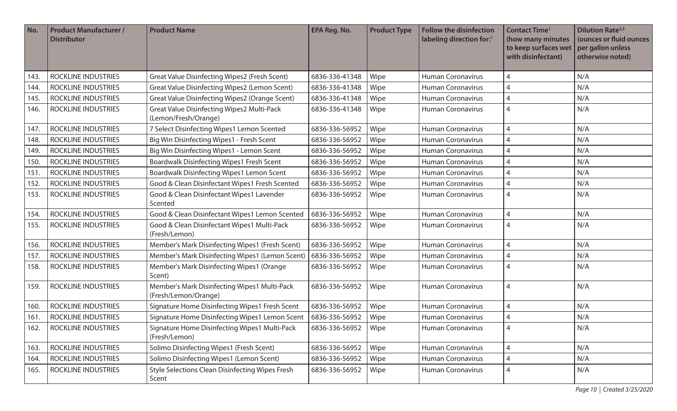| No.  | <b>Product Manufacturer /</b><br><b>Distributor</b> | <b>Product Name</b>                                                  | <b>EPA Reg. No.</b> | <b>Product Type</b> | <b>Follow the disinfection</b><br>labeling direction for:1 | <b>Contact Time<sup>1</sup></b><br>(how many minutes<br>to keep surfaces wet<br>with disinfectant) | <b>Dilution Rate</b> <sup>2,3</sup><br>(ounces or fluid ounces<br>per gallon unless<br>otherwise noted) |
|------|-----------------------------------------------------|----------------------------------------------------------------------|---------------------|---------------------|------------------------------------------------------------|----------------------------------------------------------------------------------------------------|---------------------------------------------------------------------------------------------------------|
| 143. | <b>ROCKLINE INDUSTRIES</b>                          | Great Value Disinfecting Wipes2 (Fresh Scent)                        | 6836-336-41348      | Wipe                | <b>Human Coronavirus</b>                                   | 4                                                                                                  | N/A                                                                                                     |
| 144. | ROCKLINE INDUSTRIES                                 | Great Value Disinfecting Wipes2 (Lemon Scent)                        | 6836-336-41348      | Wipe                | Human Coronavirus                                          | 4                                                                                                  | N/A                                                                                                     |
| 145. | ROCKLINE INDUSTRIES                                 | Great Value Disinfecting Wipes2 (Orange Scent)                       | 6836-336-41348      | Wipe                | <b>Human Coronavirus</b>                                   | 4                                                                                                  | N/A                                                                                                     |
| 146. | ROCKLINE INDUSTRIES                                 | Great Value Disinfecting Wipes2 Multi-Pack<br>(Lemon/Fresh/Orange)   | 6836-336-41348      | Wipe                | <b>Human Coronavirus</b>                                   | 4                                                                                                  | N/A                                                                                                     |
| 147  | <b>ROCKLINE INDUSTRIES</b>                          | 7 Select Disinfecting Wipes1 Lemon Scented                           | 6836-336-56952      | Wipe                | <b>Human Coronavirus</b>                                   | 4                                                                                                  | N/A                                                                                                     |
| 148. | ROCKLINE INDUSTRIES                                 | Big Win Disinfecting Wipes1 - Fresh Scent                            | 6836-336-56952      | Wipe                | <b>Human Coronavirus</b>                                   | 4                                                                                                  | N/A                                                                                                     |
| 149. | <b>ROCKLINE INDUSTRIES</b>                          | Big Win Disinfecting Wipes1 - Lemon Scent                            | 6836-336-56952      | Wipe                | <b>Human Coronavirus</b>                                   | 4                                                                                                  | N/A                                                                                                     |
| 150. | <b>ROCKLINE INDUSTRIES</b>                          | Boardwalk Disinfecting Wipes1 Fresh Scent                            | 6836-336-56952      | Wipe                | <b>Human Coronavirus</b>                                   | 4                                                                                                  | N/A                                                                                                     |
| 151  | <b>ROCKLINE INDUSTRIES</b>                          | Boardwalk Disinfecting Wipes1 Lemon Scent                            | 6836-336-56952      | Wipe                | <b>Human Coronavirus</b>                                   | 4                                                                                                  | N/A                                                                                                     |
| 152. | ROCKLINE INDUSTRIES                                 | Good & Clean Disinfectant Wipes1 Fresh Scented                       | 6836-336-56952      | Wipe                | <b>Human Coronavirus</b>                                   | 4                                                                                                  | N/A                                                                                                     |
| 153. | <b>ROCKLINE INDUSTRIES</b>                          | Good & Clean Disinfectant Wipes1 Lavender<br>Scented                 | 6836-336-56952      | Wipe                | <b>Human Coronavirus</b>                                   | 4                                                                                                  | N/A                                                                                                     |
| 154. | <b>ROCKLINE INDUSTRIES</b>                          | Good & Clean Disinfectant Wipes1 Lemon Scented                       | 6836-336-56952      | Wipe                | <b>Human Coronavirus</b>                                   | 4                                                                                                  | N/A                                                                                                     |
| 155. | ROCKLINE INDUSTRIES                                 | Good & Clean Disinfectant Wipes1 Multi-Pack<br>(Fresh/Lemon)         | 6836-336-56952      | Wipe                | Human Coronavirus                                          | 4                                                                                                  | N/A                                                                                                     |
| 156. | ROCKLINE INDUSTRIES                                 | Member's Mark Disinfecting Wipes1 (Fresh Scent)                      | 6836-336-56952      | Wipe                | Human Coronavirus                                          | 4                                                                                                  | N/A                                                                                                     |
| 157. | ROCKLINE INDUSTRIES                                 | Member's Mark Disinfecting Wipes1 (Lemon Scent)                      | 6836-336-56952      | Wipe                | <b>Human Coronavirus</b>                                   | 4                                                                                                  | N/A                                                                                                     |
| 158. | <b>ROCKLINE INDUSTRIES</b>                          | Member's Mark Disinfecting Wipes1 (Orange<br>Scent)                  | 6836-336-56952      | Wipe                | <b>Human Coronavirus</b>                                   | 4                                                                                                  | N/A                                                                                                     |
| 159. | ROCKLINE INDUSTRIES                                 | Member's Mark Disinfecting Wipes1 Multi-Pack<br>(Fresh/Lemon/Orange) | 6836-336-56952      | Wipe                | <b>Human Coronavirus</b>                                   | 4                                                                                                  | N/A                                                                                                     |
| 160. | <b>ROCKLINE INDUSTRIES</b>                          | Signature Home Disinfecting Wipes1 Fresh Scent                       | 6836-336-56952      | Wipe                | <b>Human Coronavirus</b>                                   | 4                                                                                                  | N/A                                                                                                     |
| 161. | <b>ROCKLINE INDUSTRIES</b>                          | Signature Home Disinfecting Wipes1 Lemon Scent                       | 6836-336-56952      | Wipe                | <b>Human Coronavirus</b>                                   | 4                                                                                                  | N/A                                                                                                     |
| 162. | ROCKLINE INDUSTRIES                                 | Signature Home Disinfecting Wipes1 Multi-Pack<br>(Fresh/Lemon)       | 6836-336-56952      | Wipe                | Human Coronavirus                                          | $\overline{4}$                                                                                     | N/A                                                                                                     |
| 163. | <b>ROCKLINE INDUSTRIES</b>                          | Solimo Disinfecting Wipes1 (Fresh Scent)                             | 6836-336-56952      | Wipe                | <b>Human Coronavirus</b>                                   | 4                                                                                                  | N/A                                                                                                     |
| 164. | <b>ROCKLINE INDUSTRIES</b>                          | Solimo Disinfecting Wipes1 (Lemon Scent)                             | 6836-336-56952      | Wipe                | Human Coronavirus                                          | 4                                                                                                  | N/A                                                                                                     |
| 165. | ROCKLINE INDUSTRIES                                 | <b>Style Selections Clean Disinfecting Wipes Fresh</b><br>Scent      | 6836-336-56952      | Wipe                | Human Coronavirus                                          | 4                                                                                                  | N/A                                                                                                     |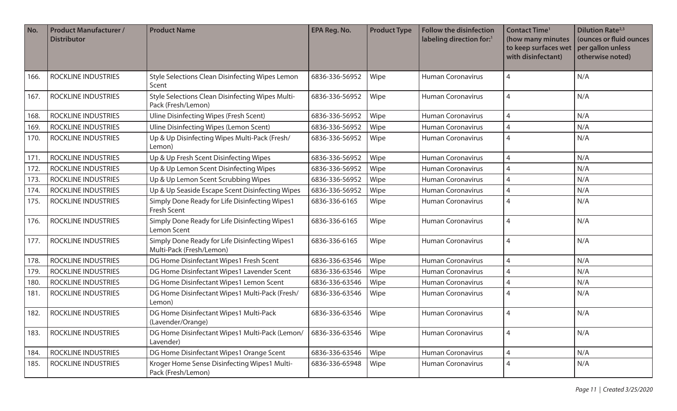| No.  | <b>Product Manufacturer /</b><br><b>Distributor</b> | <b>Product Name</b>                                                           | <b>EPA Reg. No.</b> | <b>Product Type</b> | <b>Follow the disinfection</b><br>labeling direction for:1 | <b>Contact Time<sup>1</sup></b><br>(how many minutes<br>to keep surfaces wet<br>with disinfectant) | <b>Dilution Rate</b> <sup>2,3</sup><br>(ounces or fluid ounces<br>per gallon unless<br>otherwise noted) |
|------|-----------------------------------------------------|-------------------------------------------------------------------------------|---------------------|---------------------|------------------------------------------------------------|----------------------------------------------------------------------------------------------------|---------------------------------------------------------------------------------------------------------|
| 166. | <b>ROCKLINE INDUSTRIES</b>                          | Style Selections Clean Disinfecting Wipes Lemon<br>Scent                      | 6836-336-56952      | Wipe                | <b>Human Coronavirus</b>                                   | 4                                                                                                  | N/A                                                                                                     |
| 167  | ROCKLINE INDUSTRIES                                 | <b>Style Selections Clean Disinfecting Wipes Multi-</b><br>Pack (Fresh/Lemon) | 6836-336-56952      | Wipe                | <b>Human Coronavirus</b>                                   | 4                                                                                                  | N/A                                                                                                     |
| 168. | <b>ROCKLINE INDUSTRIES</b>                          | Uline Disinfecting Wipes (Fresh Scent)                                        | 6836-336-56952      | Wipe                | <b>Human Coronavirus</b>                                   | 4                                                                                                  | N/A                                                                                                     |
| 169. | <b>ROCKLINE INDUSTRIES</b>                          | Uline Disinfecting Wipes (Lemon Scent)                                        | 6836-336-56952      | Wipe                | <b>Human Coronavirus</b>                                   | 4                                                                                                  | N/A                                                                                                     |
| 170. | <b>ROCKLINE INDUSTRIES</b>                          | Up & Up Disinfecting Wipes Multi-Pack (Fresh/<br>Lemon)                       | 6836-336-56952      | Wipe                | <b>Human Coronavirus</b>                                   | 4                                                                                                  | N/A                                                                                                     |
| 171  | ROCKLINE INDUSTRIES                                 | Up & Up Fresh Scent Disinfecting Wipes                                        | 6836-336-56952      | Wipe                | <b>Human Coronavirus</b>                                   | 4                                                                                                  | N/A                                                                                                     |
| 172. | ROCKLINE INDUSTRIES                                 | Up & Up Lemon Scent Disinfecting Wipes                                        | 6836-336-56952      | Wipe                | <b>Human Coronavirus</b>                                   | 4                                                                                                  | N/A                                                                                                     |
| 173. | <b>ROCKLINE INDUSTRIES</b>                          | Up & Up Lemon Scent Scrubbing Wipes                                           | 6836-336-56952      | Wipe                | <b>Human Coronavirus</b>                                   | 4                                                                                                  | N/A                                                                                                     |
| 174. | ROCKLINE INDUSTRIES                                 | Up & Up Seaside Escape Scent Disinfecting Wipes                               | 6836-336-56952      | Wipe                | <b>Human Coronavirus</b>                                   | 4                                                                                                  | N/A                                                                                                     |
| 175. | ROCKLINE INDUSTRIES                                 | Simply Done Ready for Life Disinfecting Wipes1<br><b>Fresh Scent</b>          | 6836-336-6165       | Wipe                | <b>Human Coronavirus</b>                                   | 4                                                                                                  | N/A                                                                                                     |
| 176. | ROCKLINE INDUSTRIES                                 | Simply Done Ready for Life Disinfecting Wipes1<br>Lemon Scent                 | 6836-336-6165       | Wipe                | <b>Human Coronavirus</b>                                   | 4                                                                                                  | N/A                                                                                                     |
| 177. | <b>ROCKLINE INDUSTRIES</b>                          | Simply Done Ready for Life Disinfecting Wipes1<br>Multi-Pack (Fresh/Lemon)    | 6836-336-6165       | Wipe                | <b>Human Coronavirus</b>                                   | 4                                                                                                  | N/A                                                                                                     |
| 178. | <b>ROCKLINE INDUSTRIES</b>                          | DG Home Disinfectant Wipes1 Fresh Scent                                       | 6836-336-63546      | Wipe                | <b>Human Coronavirus</b>                                   | 4                                                                                                  | N/A                                                                                                     |
| 179. | <b>ROCKLINE INDUSTRIES</b>                          | DG Home Disinfectant Wipes1 Lavender Scent                                    | 6836-336-63546      | Wipe                | <b>Human Coronavirus</b>                                   | 4                                                                                                  | N/A                                                                                                     |
| 180. | <b>ROCKLINE INDUSTRIES</b>                          | DG Home Disinfectant Wipes1 Lemon Scent                                       | 6836-336-63546      | Wipe                | <b>Human Coronavirus</b>                                   | 4                                                                                                  | N/A                                                                                                     |
| 181. | ROCKLINE INDUSTRIES                                 | DG Home Disinfectant Wipes1 Multi-Pack (Fresh/<br>Lemon)                      | 6836-336-63546      | Wipe                | <b>Human Coronavirus</b>                                   | 4                                                                                                  | N/A                                                                                                     |
| 182. | <b>ROCKLINE INDUSTRIES</b>                          | DG Home Disinfectant Wipes1 Multi-Pack<br>(Lavender/Orange)                   | 6836-336-63546      | Wipe                | <b>Human Coronavirus</b>                                   | 4                                                                                                  | N/A                                                                                                     |
| 183. | <b>ROCKLINE INDUSTRIES</b>                          | DG Home Disinfectant Wipes1 Multi-Pack (Lemon/<br>Lavender)                   | 6836-336-63546      | Wipe                | Human Coronavirus                                          | 4                                                                                                  | N/A                                                                                                     |
| 184. | <b>ROCKLINE INDUSTRIES</b>                          | DG Home Disinfectant Wipes1 Orange Scent                                      | 6836-336-63546      | Wipe                | Human Coronavirus                                          | 4                                                                                                  | N/A                                                                                                     |
| 185. | ROCKLINE INDUSTRIES                                 | Kroger Home Sense Disinfecting Wipes1 Multi-<br>Pack (Fresh/Lemon)            | 6836-336-65948      | Wipe                | Human Coronavirus                                          | 4                                                                                                  | N/A                                                                                                     |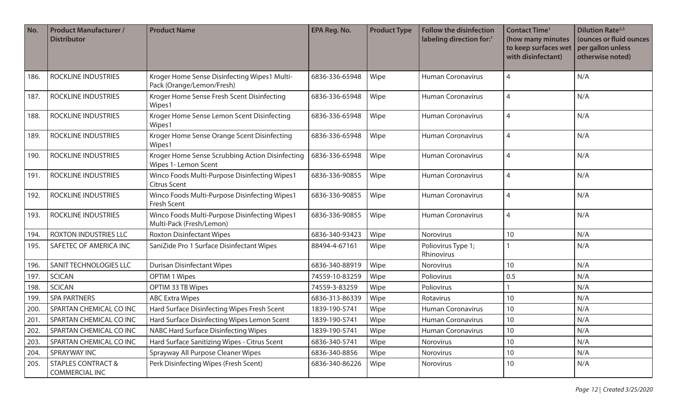| No.  | <b>Product Manufacturer /</b><br><b>Distributor</b> | <b>Product Name</b>                                                       | <b>EPA Reg. No.</b> | <b>Product Type</b> | <b>Follow the disinfection</b><br>labeling direction for:1 | <b>Contact Time<sup>1</sup></b><br>(how many minutes<br>to keep surfaces wet<br>with disinfectant) | <b>Dilution Rate</b> <sup>2,3</sup><br>(ounces or fluid ounces<br>per gallon unless<br>otherwise noted) |
|------|-----------------------------------------------------|---------------------------------------------------------------------------|---------------------|---------------------|------------------------------------------------------------|----------------------------------------------------------------------------------------------------|---------------------------------------------------------------------------------------------------------|
| 186. | ROCKLINE INDUSTRIES                                 | Kroger Home Sense Disinfecting Wipes1 Multi-<br>Pack (Orange/Lemon/Fresh) | 6836-336-65948      | Wipe                | <b>Human Coronavirus</b>                                   | $\overline{4}$                                                                                     | N/A                                                                                                     |
| 187  | ROCKLINE INDUSTRIES                                 | Kroger Home Sense Fresh Scent Disinfecting<br>Wipes1                      | 6836-336-65948      | Wipe                | <b>Human Coronavirus</b>                                   | $\overline{4}$                                                                                     | N/A                                                                                                     |
| 188. | ROCKLINE INDUSTRIES                                 | Kroger Home Sense Lemon Scent Disinfecting<br>Wipes1                      | 6836-336-65948      | Wipe                | <b>Human Coronavirus</b>                                   | $\overline{4}$                                                                                     | N/A                                                                                                     |
| 189. | ROCKLINE INDUSTRIES                                 | Kroger Home Sense Orange Scent Disinfecting<br>Wipes1                     | 6836-336-65948      | Wipe                | <b>Human Coronavirus</b>                                   | $\overline{4}$                                                                                     | N/A                                                                                                     |
| 190. | <b>ROCKLINE INDUSTRIES</b>                          | Kroger Home Sense Scrubbing Action Disinfecting<br>Wipes 1- Lemon Scent   | 6836-336-65948      | Wipe                | <b>Human Coronavirus</b>                                   | $\overline{4}$                                                                                     | N/A                                                                                                     |
| 191. | <b>ROCKLINE INDUSTRIES</b>                          | Winco Foods Multi-Purpose Disinfecting Wipes1<br><b>Citrus Scent</b>      | 6836-336-90855      | Wipe                | <b>Human Coronavirus</b>                                   | $\overline{4}$                                                                                     | N/A                                                                                                     |
| 192. | ROCKLINE INDUSTRIES                                 | Winco Foods Multi-Purpose Disinfecting Wipes1<br>Fresh Scent              | 6836-336-90855      | Wipe                | <b>Human Coronavirus</b>                                   | $\overline{4}$                                                                                     | N/A                                                                                                     |
| 193. | <b>ROCKLINE INDUSTRIES</b>                          | Winco Foods Multi-Purpose Disinfecting Wipes1<br>Multi-Pack (Fresh/Lemon) | 6836-336-90855      | Wipe                | <b>Human Coronavirus</b>                                   | $\overline{4}$                                                                                     | N/A                                                                                                     |
| 194. | ROXTON INDUSTRIES LLC                               | <b>Roxton Disinfectant Wipes</b>                                          | 6836-340-93423      | Wipe                | Norovirus                                                  | 10                                                                                                 | N/A                                                                                                     |
| 195. | SAFETEC OF AMERICA INC                              | SaniZide Pro 1 Surface Disinfectant Wipes                                 | 88494-4-67161       | Wipe                | Poliovirus Type 1;<br>Rhinovirus                           |                                                                                                    | N/A                                                                                                     |
| 196. | SANIT TECHNOLOGIES LLC                              | <b>Durisan Disinfectant Wipes</b>                                         | 6836-340-88919      | Wipe                | <b>Norovirus</b>                                           | 10                                                                                                 | N/A                                                                                                     |
| 197. | <b>SCICAN</b>                                       | <b>OPTIM 1 Wipes</b>                                                      | 74559-10-83259      | Wipe                | Poliovirus                                                 | 0.5                                                                                                | N/A                                                                                                     |
| 198. | <b>SCICAN</b>                                       | OPTIM 33 TB Wipes                                                         | 74559-3-83259       | Wipe                | Poliovirus                                                 |                                                                                                    | N/A                                                                                                     |
| 199  | <b>SPA PARTNERS</b>                                 | <b>ABC Extra Wipes</b>                                                    | 6836-313-86339      | Wipe                | Rotavirus                                                  | 10                                                                                                 | N/A                                                                                                     |
| 200. | SPARTAN CHEMICAL CO INC                             | Hard Surface Disinfecting Wipes Fresh Scent                               | 1839-190-5741       | Wipe                | <b>Human Coronavirus</b>                                   | 10                                                                                                 | N/A                                                                                                     |
| 201. | SPARTAN CHEMICAL CO INC                             | Hard Surface Disinfecting Wipes Lemon Scent                               | 1839-190-5741       | Wipe                | <b>Human Coronavirus</b>                                   | 10                                                                                                 | N/A                                                                                                     |
| 202. | SPARTAN CHEMICAL CO INC                             | NABC Hard Surface Disinfecting Wipes                                      | 1839-190-5741       | Wipe                | <b>Human Coronavirus</b>                                   | 10                                                                                                 | N/A                                                                                                     |
| 203. | SPARTAN CHEMICAL CO INC                             | Hard Surface Sanitizing Wipes - Citrus Scent                              | 6836-340-5741       | Wipe                | Norovirus                                                  | 10                                                                                                 | N/A                                                                                                     |
| 204. | SPRAYWAY INC                                        | Sprayway All Purpose Cleaner Wipes                                        | 6836-340-8856       | Wipe                | Norovirus                                                  | 10                                                                                                 | N/A                                                                                                     |
| 205. | <b>STAPLES CONTRACT &amp;</b><br>COMMERCIAL INC     | Perk Disinfecting Wipes (Fresh Scent)                                     | 6836-340-86226      | Wipe                | Norovirus                                                  | 10                                                                                                 | N/A                                                                                                     |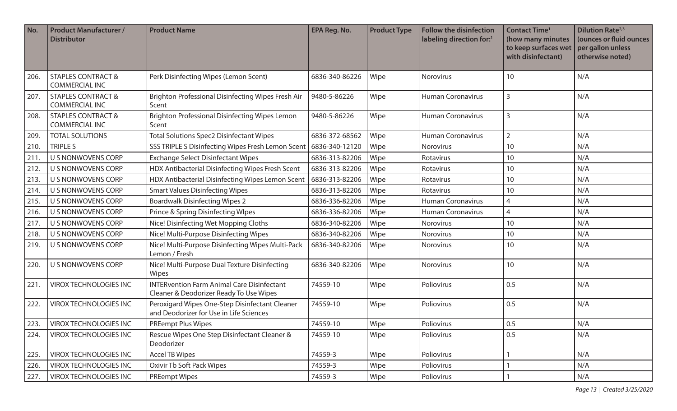| No.  | <b>Product Manufacturer /</b><br><b>Distributor</b>    | <b>Product Name</b>                                                                          | EPA Reg. No.   | <b>Product Type</b> | <b>Follow the disinfection</b><br>labeling direction for: <sup>1</sup> | <b>Contact Time<sup>1</sup></b><br>(how many minutes<br>to keep surfaces wet<br>with disinfectant) | <b>Dilution Rate</b> <sup>2,3</sup><br>(ounces or fluid ounces<br>per gallon unless<br>otherwise noted) |
|------|--------------------------------------------------------|----------------------------------------------------------------------------------------------|----------------|---------------------|------------------------------------------------------------------------|----------------------------------------------------------------------------------------------------|---------------------------------------------------------------------------------------------------------|
| 206. | <b>STAPLES CONTRACT &amp;</b><br><b>COMMERCIAL INC</b> | Perk Disinfecting Wipes (Lemon Scent)                                                        | 6836-340-86226 | Wipe                | Norovirus                                                              | 10                                                                                                 | N/A                                                                                                     |
| 207. | <b>STAPLES CONTRACT &amp;</b><br><b>COMMERCIAL INC</b> | Brighton Professional Disinfecting Wipes Fresh Air<br>Scent                                  | 9480-5-86226   | Wipe                | <b>Human Coronavirus</b>                                               | 3                                                                                                  | N/A                                                                                                     |
| 208. | <b>STAPLES CONTRACT &amp;</b><br><b>COMMERCIAL INC</b> | Brighton Professional Disinfecting Wipes Lemon<br>Scent                                      | 9480-5-86226   | Wipe                | <b>Human Coronavirus</b>                                               | 3                                                                                                  | N/A                                                                                                     |
| 209. | <b>TOTAL SOLUTIONS</b>                                 | <b>Total Solutions Spec2 Disinfectant Wipes</b>                                              | 6836-372-68562 | Wipe                | <b>Human Coronavirus</b>                                               | $\overline{2}$                                                                                     | N/A                                                                                                     |
| 210. | <b>TRIPLE S</b>                                        | SSS TRIPLE S Disinfecting Wipes Fresh Lemon Scent                                            | 6836-340-12120 | Wipe                | Norovirus                                                              | 10                                                                                                 | N/A                                                                                                     |
| 211  | U S NONWOVENS CORP                                     | <b>Exchange Select Disinfectant Wipes</b>                                                    | 6836-313-82206 | Wipe                | Rotavirus                                                              | 10                                                                                                 | N/A                                                                                                     |
| 212. | U S NONWOVENS CORP                                     | HDX Antibacterial Disinfecting Wipes Fresh Scent                                             | 6836-313-82206 | Wipe                | Rotavirus                                                              | 10                                                                                                 | N/A                                                                                                     |
| 213. | <b>U S NONWOVENS CORP</b>                              | HDX Antibacterial Disinfecting Wipes Lemon Scent                                             | 6836-313-82206 | Wipe                | Rotavirus                                                              | 10                                                                                                 | N/A                                                                                                     |
| 214. | U S NONWOVENS CORP                                     | <b>Smart Values Disinfecting Wipes</b>                                                       | 6836-313-82206 | Wipe                | Rotavirus                                                              | 10                                                                                                 | N/A                                                                                                     |
| 215. | U S NONWOVENS CORP                                     | <b>Boardwalk Disinfecting Wipes 2</b>                                                        | 6836-336-82206 | Wipe                | <b>Human Coronavirus</b>                                               | 4                                                                                                  | N/A                                                                                                     |
| 216. | U S NONWOVENS CORP                                     | Prince & Spring Disinfecting WIpes                                                           | 6836-336-82206 | Wipe                | <b>Human Coronavirus</b>                                               | 4                                                                                                  | N/A                                                                                                     |
| 217. | U S NONWOVENS CORP                                     | Nice! Disinfecting Wet Mopping Cloths                                                        | 6836-340-82206 | Wipe                | Norovirus                                                              | 10                                                                                                 | N/A                                                                                                     |
| 218. | U S NONWOVENS CORP                                     | Nice! Multi-Purpose Disinfecting Wipes                                                       | 6836-340-82206 | Wipe                | <b>Norovirus</b>                                                       | 10                                                                                                 | N/A                                                                                                     |
| 219. | U S NONWOVENS CORP                                     | Nice! Multi-Purpose Disinfecting Wipes Multi-Pack<br>Lemon / Fresh                           | 6836-340-82206 | Wipe                | Norovirus                                                              | 10                                                                                                 | N/A                                                                                                     |
| 220. | U S NONWOVENS CORP                                     | Nice! Multi-Purpose Dual Texture Disinfecting<br>Wipes                                       | 6836-340-82206 | Wipe                | Norovirus                                                              | 10                                                                                                 | N/A                                                                                                     |
| 221. | <b>VIROX TECHNOLOGIES INC</b>                          | <b>INTERvention Farm Animal Care Disinfectant</b><br>Cleaner & Deodorizer Ready To Use Wipes | 74559-10       | Wipe                | Poliovirus                                                             | 0.5                                                                                                | N/A                                                                                                     |
| 222. | <b>VIROX TECHNOLOGIES INC</b>                          | Peroxigard Wipes One-Step Disinfectant Cleaner<br>and Deodorizer for Use in Life Sciences    | 74559-10       | Wipe                | Poliovirus                                                             | 0.5                                                                                                | N/A                                                                                                     |
| 223. | VIROX TECHNOLOGIES INC                                 | <b>PREempt Plus Wipes</b>                                                                    | 74559-10       | Wipe                | Poliovirus                                                             | 0.5                                                                                                | N/A                                                                                                     |
| 224. | <b>VIROX TECHNOLOGIES INC</b>                          | Rescue Wipes One Step Disinfectant Cleaner &<br>Deodorizer                                   | 74559-10       | Wipe                | Poliovirus                                                             | 0.5                                                                                                | N/A                                                                                                     |
| 225. | VIROX TECHNOLOGIES INC                                 | <b>Accel TB Wipes</b>                                                                        | 74559-3        | Wipe                | Poliovirus                                                             |                                                                                                    | N/A                                                                                                     |
| 226. | <b>VIROX TECHNOLOGIES INC</b>                          | <b>Oxivir Tb Soft Pack Wipes</b>                                                             | 74559-3        | Wipe                | Poliovirus                                                             |                                                                                                    | N/A                                                                                                     |
| 227. | <b>VIROX TECHNOLOGIES INC</b>                          | <b>PREempt Wipes</b>                                                                         | 74559-3        | Wipe                | Poliovirus                                                             |                                                                                                    | N/A                                                                                                     |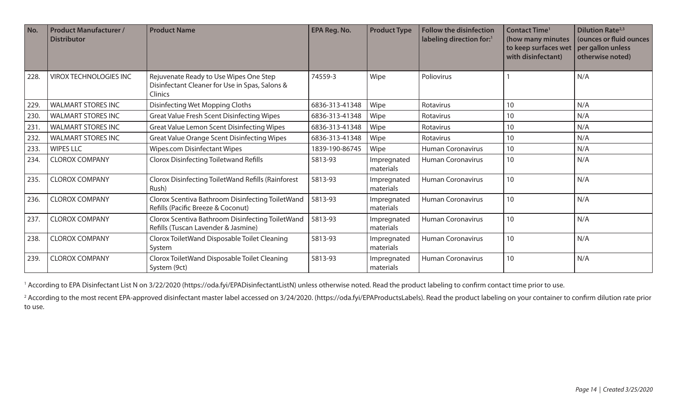| No.  | <b>Product Manufacturer /</b><br><b>Distributor</b> | <b>Product Name</b>                                                                                 | EPA Reg. No.   | <b>Product Type</b>      | <b>Follow the disinfection</b><br>labeling direction for:1 | <b>Contact Time<sup>1</sup></b><br>(how many minutes<br>to keep surfaces wet<br>with disinfectant) | <b>Dilution Rate</b> <sup>2,3</sup><br>(ounces or fluid ounces<br>per gallon unless<br>otherwise noted) |
|------|-----------------------------------------------------|-----------------------------------------------------------------------------------------------------|----------------|--------------------------|------------------------------------------------------------|----------------------------------------------------------------------------------------------------|---------------------------------------------------------------------------------------------------------|
| 228  | <b>VIROX TECHNOLOGIES INC</b>                       | Rejuvenate Ready to Use Wipes One Step<br>Disinfectant Cleaner for Use in Spas, Salons &<br>Clinics | 74559-3        | Wipe                     | Poliovirus                                                 |                                                                                                    | N/A                                                                                                     |
| 229  | <b>WALMART STORES INC</b>                           | Disinfecting Wet Mopping Cloths                                                                     | 6836-313-41348 | Wipe                     | Rotavirus                                                  | 10                                                                                                 | N/A                                                                                                     |
| 230. | <b>WALMART STORES INC</b>                           | <b>Great Value Fresh Scent Disinfecting Wipes</b>                                                   | 6836-313-41348 | Wipe                     | Rotavirus                                                  | 10                                                                                                 | N/A                                                                                                     |
| 231. | <b>WALMART STORES INC</b>                           | <b>Great Value Lemon Scent Disinfecting Wipes</b>                                                   | 6836-313-41348 | Wipe                     | Rotavirus                                                  | 10                                                                                                 | N/A                                                                                                     |
| 232  | <b>WALMART STORES INC</b>                           | <b>Great Value Orange Scent Disinfecting Wipes</b>                                                  | 6836-313-41348 | Wipe                     | Rotavirus                                                  | 10                                                                                                 | N/A                                                                                                     |
| 233. | <b>WIPES LLC</b>                                    | <b>Wipes.com Disinfectant Wipes</b>                                                                 | 1839-190-86745 | Wipe                     | <b>Human Coronavirus</b>                                   | 10                                                                                                 | N/A                                                                                                     |
| 234. | <b>CLOROX COMPANY</b>                               | <b>Clorox Disinfecting Toiletwand Refills</b>                                                       | 5813-93        | Impregnated<br>materials | <b>Human Coronavirus</b>                                   | 10                                                                                                 | N/A                                                                                                     |
| 235. | <b>CLOROX COMPANY</b>                               | Clorox Disinfecting ToiletWand Refills (Rainforest<br>Rush)                                         | 5813-93        | Impregnated<br>materials | <b>Human Coronavirus</b>                                   | 10                                                                                                 | N/A                                                                                                     |
| 236. | <b>CLOROX COMPANY</b>                               | Clorox Scentiva Bathroom Disinfecting ToiletWand<br>Refills (Pacific Breeze & Coconut)              | 5813-93        | Impregnated<br>materials | <b>Human Coronavirus</b>                                   | 10                                                                                                 | N/A                                                                                                     |
| 237  | <b>CLOROX COMPANY</b>                               | Clorox Scentiva Bathroom Disinfecting ToiletWand<br>Refills (Tuscan Lavender & Jasmine)             | 5813-93        | Impregnated<br>materials | <b>Human Coronavirus</b>                                   | 10                                                                                                 | N/A                                                                                                     |
| 238. | <b>CLOROX COMPANY</b>                               | Clorox ToiletWand Disposable Toilet Cleaning<br>System                                              | 5813-93        | Impregnated<br>materials | <b>Human Coronavirus</b>                                   | 10                                                                                                 | N/A                                                                                                     |
| 239. | <b>CLOROX COMPANY</b>                               | Clorox ToiletWand Disposable Toilet Cleaning<br>System (9ct)                                        | 5813-93        | Impregnated<br>materials | <b>Human Coronavirus</b>                                   | 10                                                                                                 | N/A                                                                                                     |

<sup>1</sup> According to EPA Disinfectant List N on 3/22/2020 (https://oda.fyi/EPADisinfectantListN) unless otherwise noted. Read the product labeling to confirm contact time prior to use.

<sup>2</sup> According to the most recent EPA-approved disinfectant master label accessed on 3/24/2020. (https://oda.fyi/EPAProductsLabels). Read the product labeling on your container to confirm dilution rate prior to use.